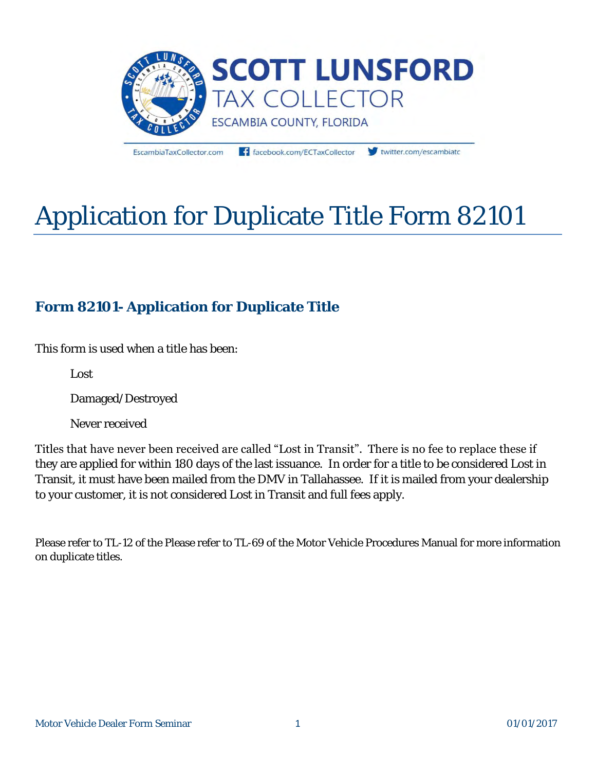

EscambiaTaxCollector.com

facebook.com/ECTaxCollector

twitter.com/escambiato

# Application for Duplicate Title Form 82101

# **Form 82101- Application for Duplicate Title**

This form is used when a title has been:

Lost

Damaged/Destroyed

Never received

Titles that have never been received are called "Lost in Transit". There is no fee to replace these if they are applied for within 180 days of the last issuance. In order for a title to be considered Lost in Transit, it must have been mailed from the DMV in Tallahassee. If it is mailed from your dealership to your customer, it is not considered Lost in Transit and full fees apply.

Please refer to TL-12 of the Please refer to TL-69 of the Motor Vehicle Procedures Manual for more information on duplicate titles.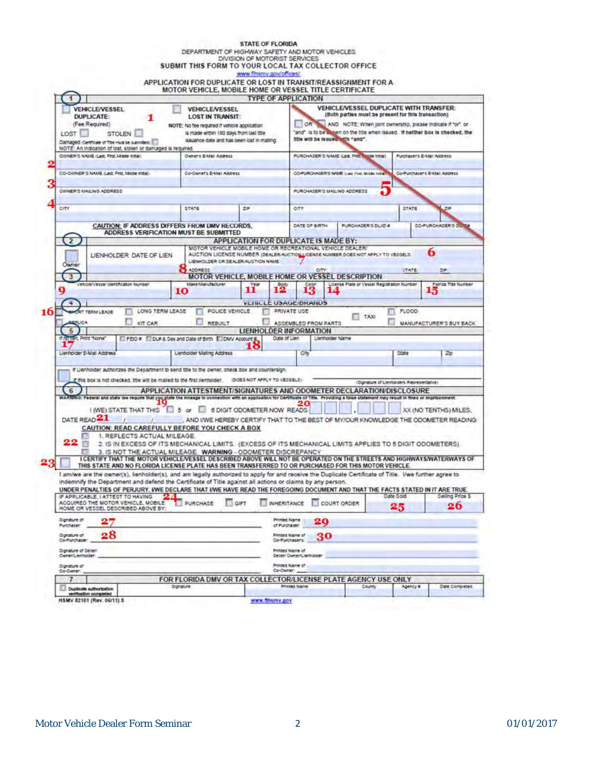|                                                            |                                                                                                                                                                                                                                                                                                                                                                                                                                                                                          | DEPARTMENT OF HIGHWAY SAFETY AND MOTOR VEHICLES<br>SUBMIT THIS FORM TO YOUR LOCAL TAX COLLECTOR OFFICE                                                            | <b>STATE OF FLORIDA</b><br>DIVISION OF MOTORIST SERVICES                                                                                                                            |                                      |                                                 |                                                                                                       |                                           |                               |                                                                                                                                               |  |
|------------------------------------------------------------|------------------------------------------------------------------------------------------------------------------------------------------------------------------------------------------------------------------------------------------------------------------------------------------------------------------------------------------------------------------------------------------------------------------------------------------------------------------------------------------|-------------------------------------------------------------------------------------------------------------------------------------------------------------------|-------------------------------------------------------------------------------------------------------------------------------------------------------------------------------------|--------------------------------------|-------------------------------------------------|-------------------------------------------------------------------------------------------------------|-------------------------------------------|-------------------------------|-----------------------------------------------------------------------------------------------------------------------------------------------|--|
|                                                            |                                                                                                                                                                                                                                                                                                                                                                                                                                                                                          | APPLICATION FOR DUPLICATE OR LOST IN TRANSIT/REASSIGNMENT FOR A<br>MOTOR VEHICLE. MOBILE HOME OR VESSEL TITLE CERTIFICATE                                         | www.finsmy.gov/offices/                                                                                                                                                             |                                      |                                                 |                                                                                                       |                                           |                               |                                                                                                                                               |  |
|                                                            | VEHICLE/VESSEL                                                                                                                                                                                                                                                                                                                                                                                                                                                                           | VEHICLE/VESSEL                                                                                                                                                    |                                                                                                                                                                                     | <b>TYPE OF APPLICATION</b>           |                                                 | <b>VEHICLE/VESSEL DUPLICATE WITH TRANSFER:</b><br>(Both parties must be present for this transaction) |                                           |                               |                                                                                                                                               |  |
| <b>DUPLICATE:</b><br>(Fee Required)<br>LOST                | <b>STOLEN</b><br>Damaged (Certificate of Title must be submitted)                                                                                                                                                                                                                                                                                                                                                                                                                        | <b>LOST IN TRANSIT:</b><br>NOTE: No fee required if vehicle application<br>is made within 180 days from last title<br>issuance date and has been lost in malling. |                                                                                                                                                                                     |                                      |                                                 | title will be lasued with "and".                                                                      |                                           |                               | OR AND NOTE: When joint ownership, please indicate if "or" or<br>"and" is to be suggin on the the when issued. If neither box is checked, the |  |
|                                                            | NOTE: An indication of lost, stolen or damaged is required.<br>OWNER'S NAME (Last, First, Mode Initial)                                                                                                                                                                                                                                                                                                                                                                                  |                                                                                                                                                                   | Owner's E-Mail Address                                                                                                                                                              |                                      |                                                 | PURCHASER S NAME (Last, First Middle Initial)                                                         |                                           |                               | Purchaser's E-Mail Address                                                                                                                    |  |
| CO-OWNER 3 NAME (Last, First, Mode Initial)                |                                                                                                                                                                                                                                                                                                                                                                                                                                                                                          | Co-Oaner's E-Mai Address                                                                                                                                          |                                                                                                                                                                                     |                                      | CO-PURCHASER'S NAME, (Last First, Milde Initial |                                                                                                       |                                           | Co-Purchaser's E-Mail Address |                                                                                                                                               |  |
| OWNER'D MAILING ADDRESS                                    |                                                                                                                                                                                                                                                                                                                                                                                                                                                                                          |                                                                                                                                                                   |                                                                                                                                                                                     |                                      |                                                 | PURCHADER 3 MAILING ADDRESS                                                                           |                                           |                               |                                                                                                                                               |  |
| CITY                                                       |                                                                                                                                                                                                                                                                                                                                                                                                                                                                                          | STATE                                                                                                                                                             | 2P                                                                                                                                                                                  |                                      | CITY                                            |                                                                                                       |                                           | STATE<br>2P                   |                                                                                                                                               |  |
|                                                            | CAUTION: IF ADDRESS DIFFERS FROM DMV RECORDS.                                                                                                                                                                                                                                                                                                                                                                                                                                            |                                                                                                                                                                   |                                                                                                                                                                                     |                                      | DATE OF BIRTH                                   |                                                                                                       | PURCHASER'S DUID #                        |                               | CO-PURCHASER 3 DUMI                                                                                                                           |  |
| $\overline{2}$                                             | ADDRESS VERIFICATION MUST BE SUBMITTED                                                                                                                                                                                                                                                                                                                                                                                                                                                   |                                                                                                                                                                   | APPLICATION FOR DUPLICATE IS MADE BY:                                                                                                                                               |                                      |                                                 |                                                                                                       |                                           |                               |                                                                                                                                               |  |
|                                                            | LIENHOLDER, DATE OF LIEN                                                                                                                                                                                                                                                                                                                                                                                                                                                                 |                                                                                                                                                                   | MOTOR VEHICLE MOBILE HOME OR RECREATIONAL VEHICLE DEALER/<br>AUCTION LICENSE NUMBER (DEALER/AUCTION LICENSE NUMBER DOES NOT APPLY TO VESSELS:<br>LIENHOLDER OR DEALER/AUCTION NAME: |                                      |                                                 |                                                                                                       |                                           |                               | 6                                                                                                                                             |  |
| Owner<br>3                                                 |                                                                                                                                                                                                                                                                                                                                                                                                                                                                                          | ADDRESS                                                                                                                                                           | MOTOR VEHICLE, MOBILE HOME OR VESSEL DESCRIPTION                                                                                                                                    |                                      | <b>CITY:</b>                                    |                                                                                                       |                                           | <b>OTATE</b>                  | 出声                                                                                                                                            |  |
| Q                                                          | /chicle/Vesser (dentification Number                                                                                                                                                                                                                                                                                                                                                                                                                                                     | Make Manufacturer<br>10                                                                                                                                           | Year<br>11                                                                                                                                                                          | Bod <sub>1</sub><br>12               | 13                                              | License Plate or Vessel Registration Number<br>14                                                     |                                           |                               | Florida Title Number<br>15                                                                                                                    |  |
|                                                            |                                                                                                                                                                                                                                                                                                                                                                                                                                                                                          |                                                                                                                                                                   |                                                                                                                                                                                     | VEHICLE USAGE/DRANUS                 |                                                 |                                                                                                       |                                           |                               |                                                                                                                                               |  |
| 5<br>If no lien, Print "None"<br>Llenholder E-Mail Address |                                                                                                                                                                                                                                                                                                                                                                                                                                                                                          | FEID # El DUP & Sex and Date of Brth El DMV Account #<br>Lienholder Malling Address                                                                               | <b>LIENHOLDER INFORMATION</b><br>10                                                                                                                                                 | Date of Lien                         | City                                            | Lienholder Name                                                                                       |                                           | State                         | <b>Zp</b>                                                                                                                                     |  |
|                                                            | if Denholder authorizes the Department to send title to the owner, check box and countersign.                                                                                                                                                                                                                                                                                                                                                                                            |                                                                                                                                                                   |                                                                                                                                                                                     |                                      |                                                 |                                                                                                       |                                           |                               |                                                                                                                                               |  |
| 6                                                          | This box is not checked, the will be malled to the first ilenholder.                                                                                                                                                                                                                                                                                                                                                                                                                     | APPLICATION ATTESTMENT/SIGNATURES AND ODOMETER DECLARATION/DISCLOSURE                                                                                             | IDOES NOT APPLY TO VESSELS                                                                                                                                                          |                                      |                                                 |                                                                                                       | (Ulonature of Lienholders Representative) |                               |                                                                                                                                               |  |
|                                                            | WARRING: Federal and state law require that you glate the mileage in connection with an application for Certificate of Title. Providing a talue statement may result in these or imprisonment.                                                                                                                                                                                                                                                                                           |                                                                                                                                                                   |                                                                                                                                                                                     |                                      | 20                                              |                                                                                                       |                                           |                               |                                                                                                                                               |  |
| DATE READ <sup>21</sup>                                    | I IWE) STATE THAT THIS III 5 or 1 6 DIGIT ODOMETER NOW READS                                                                                                                                                                                                                                                                                                                                                                                                                             |                                                                                                                                                                   |                                                                                                                                                                                     |                                      |                                                 |                                                                                                       |                                           |                               | XX (NO TENTHS) MILES.<br>. AND IWE HEREBY CERTIFY THAT TO THE BEST OF MY/OUR KNOWLEDGE THE ODOMETER READING:                                  |  |
| 22                                                         | CAUTION: READ CAREFULLY BEFORE YOU CHECK A BOX<br>1. REFLECTS ACTUAL MILEAGE.<br>2. IS IN EXCESS OF ITS MECHANICAL LIMITS. (EXCESS OF ITS MECHANICAL LIMITS APPLIES TO 5 DIGIT ODOMETERS)<br>3. IS NOT THE ACTUAL MILEAGE. WARNING - ODOMETER DISCREPANCY<br>I CERTIFY THAT THE MOTOR VEHICLE/VESSEL DESCRIBED ABOVE WILL NOT BE OPERATED ON THE STREETS AND HIGHWAYSWATERWAYS OF<br>THIS STATE AND NO FLORIDA LICENSE PLATE HAS BEEN TRANSFERRED TO OR PURCHASED FOR THIS MOTOR VEHICLE |                                                                                                                                                                   |                                                                                                                                                                                     |                                      |                                                 |                                                                                                       |                                           |                               |                                                                                                                                               |  |
|                                                            | I am/we are the owner(s), lienholder(s), and am legally authorized to apply for and receive the Duplicate Certificate of Title. I/we further agree to<br>indemnify the Department and defend the Certificate of Title against all actions or claims by any person.<br>UNDER PENALTIES OF PERJURY, IWE DECLARE THAT IWE HAVE READ THE FOREGOING DOCUMENT AND THAT THE FACTS STATED IN IT ARE TRUE.<br>IF APPLICABLE, I ATTEST TO HAVING                                                   |                                                                                                                                                                   |                                                                                                                                                                                     |                                      |                                                 |                                                                                                       |                                           | Date Sold                     | Selling Price S                                                                                                                               |  |
|                                                            | ACQUIRED THE MOTOR VEHICLE, MOBILE                                                                                                                                                                                                                                                                                                                                                                                                                                                       | PURCHASE                                                                                                                                                          | GIFT                                                                                                                                                                                |                                      |                                                 | INHERITANCE COURT ORDER                                                                               |                                           | 25                            | 26                                                                                                                                            |  |
|                                                            | HOME OR VESSEL DESCRIBED ABOVE BY:                                                                                                                                                                                                                                                                                                                                                                                                                                                       |                                                                                                                                                                   |                                                                                                                                                                                     |                                      |                                                 |                                                                                                       |                                           |                               |                                                                                                                                               |  |
| <b>Dignature of</b><br>Purchaser                           |                                                                                                                                                                                                                                                                                                                                                                                                                                                                                          |                                                                                                                                                                   |                                                                                                                                                                                     | <b>Printed Name</b><br>of Purchaser: | 20                                              |                                                                                                       |                                           |                               |                                                                                                                                               |  |
| <b>Dignature of</b><br>Co-Purchaser:                       | 28                                                                                                                                                                                                                                                                                                                                                                                                                                                                                       |                                                                                                                                                                   |                                                                                                                                                                                     | Printed Name of<br>Co-Purchaser's    |                                                 | 30                                                                                                    |                                           |                               |                                                                                                                                               |  |
| Disnature of Selleri<br>Owner/Lienholder:                  |                                                                                                                                                                                                                                                                                                                                                                                                                                                                                          |                                                                                                                                                                   |                                                                                                                                                                                     | <b>Printed Name of</b>               | Deller/ Claner/Lienholder:                      |                                                                                                       |                                           |                               |                                                                                                                                               |  |
| <b>Bignature of</b><br>Co-Owner.                           |                                                                                                                                                                                                                                                                                                                                                                                                                                                                                          |                                                                                                                                                                   |                                                                                                                                                                                     | Printed Name of<br>Co-Owner:         |                                                 |                                                                                                       |                                           |                               |                                                                                                                                               |  |
| Duplicate authorization                                    |                                                                                                                                                                                                                                                                                                                                                                                                                                                                                          | FOR FLORIDA DMV OR TAX COLLECTOR/LICENSE PLATE AGENCY USE ONLY<br>Gignature                                                                                       |                                                                                                                                                                                     | Printed Name                         |                                                 |                                                                                                       | County                                    | Agency B                      | Date Completed                                                                                                                                |  |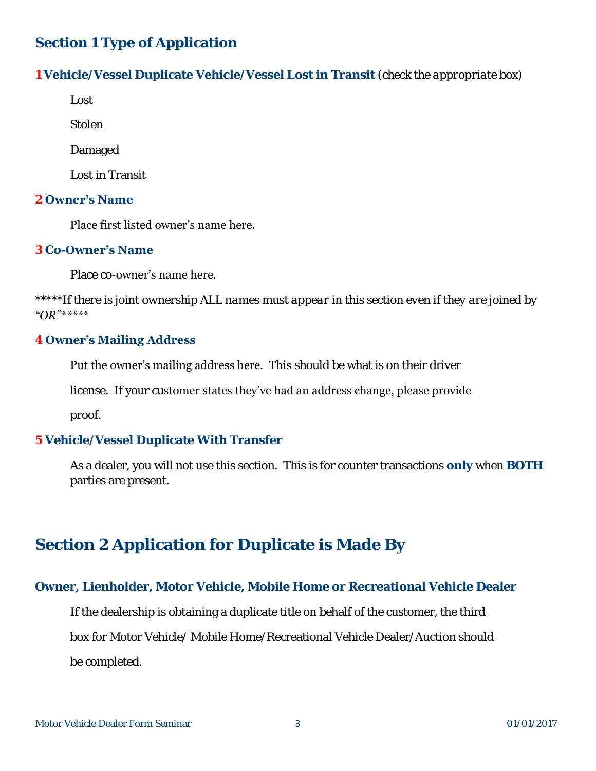# **Section 1 Type of Application**

**1 Vehicle/Vessel Duplicate Vehicle/Vessel Lost in Transit** *(check the appropriate box)* 

Lost

Stolen

Damaged

Lost in Transit

## **2 Owner's Name**

Place first listed owner's name here.

## **3 Co-Owner's Name**

Place co-owner's name here.

*\*\*\*\*\*If there is joint ownership ALL names must appear in this section even if they are joined by "OR"\*\*\*\*\**

## **4 Owner's Mailing Address**

Put the owner's mailing address here. This *should be* what is on their driver

license. If your customer states they've had an address change, please provide

proof.

## **5 Vehicle/Vessel Duplicate With Transfer**

As a dealer, you will not use this section. This is for counter transactions **only** when **BOTH** parties are present.

# **Section 2 Application for Duplicate is Made By**

# **Owner, Lienholder, Motor Vehicle, Mobile Home or Recreational Vehicle Dealer**

 If the dealership is obtaining a duplicate title on behalf of the customer, the third box for Motor Vehicle/ Mobile Home/Recreational Vehicle Dealer/Auction should be completed.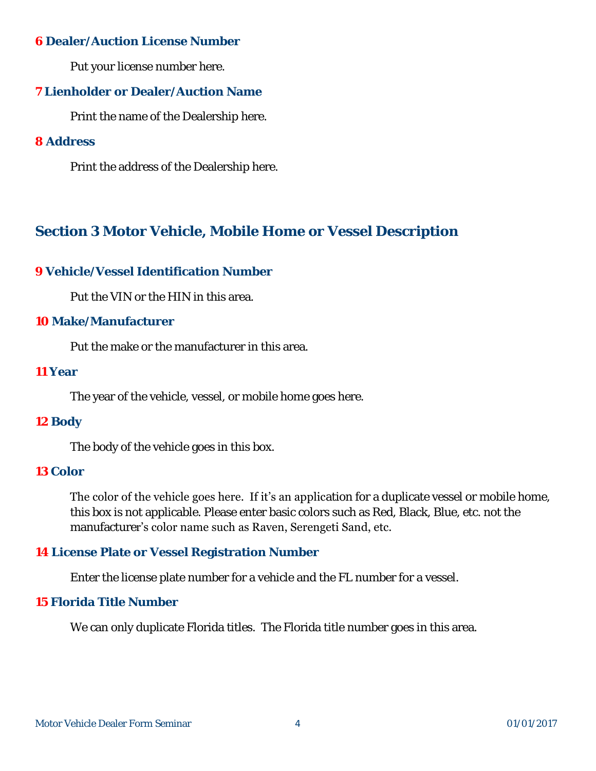## **6 Dealer/Auction License Number**

Put your license number here.

## **7 Lienholder or Dealer/Auction Name**

Print the name of the Dealership here.

## **8 Address**

Print the address of the Dealership here.

# **Section 3 Motor Vehicle, Mobile Home or Vessel Description**

## **9 Vehicle/Vessel Identification Number**

Put the VIN or the HIN in this area.

## **10 Make/Manufacturer**

Put the make or the manufacturer in this area.

## **11 Year**

The year of the vehicle, vessel, or mobile home goes here.

## **12 Body**

The body of the vehicle goes in this box.

## **13 Color**

The color of the vehicle goes here. If it's an application for a duplicate vessel or mobile home, this box is not applicable. Please enter basic colors such as Red, Black, Blue, etc. not the manufacturer's color name such as Raven, Serengeti Sand, etc.

## **14 License Plate or Vessel Registration Number**

Enter the license plate number for a vehicle and the FL number for a vessel.

## **15 Florida Title Number**

We can only duplicate Florida titles. The Florida title number goes in this area.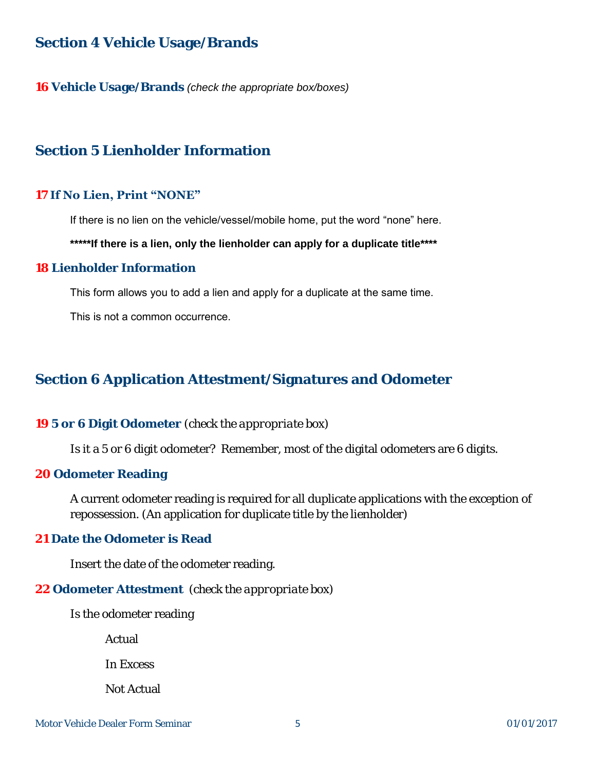## **Section 4 Vehicle Usage/Brands**

**16 Vehicle Usage/Brands** *(check the appropriate box/boxes)* 

## **Section 5 Lienholder Information**

#### **17 If No Lien, Print "NONE"**

If there is no lien on the vehicle/vessel/mobile home, put the word "none" here.

#### **\*\*\*\*\*If there is a lien, only the lienholder can apply for a duplicate title\*\*\*\***

#### **18 Lienholder Information**

This form allows you to add a lien and apply for a duplicate at the same time.

This is not a common occurrence.

## **Section 6 Application Attestment/Signatures and Odometer**

#### **19 5 or 6 Digit Odometer** *(check the appropriate box)*

Is it a 5 or 6 digit odometer? Remember, most of the digital odometers are 6 digits.

**20 Odometer Reading**

A current odometer reading is required for all duplicate applications with the exception of repossession. (An application for duplicate title by the lienholder)

#### **21 Date the Odometer is Read**

Insert the date of the odometer reading.

#### **22 Odometer Attestment** *(check the appropriate box)*

Is the odometer reading

Actual

In Excess

Not Actual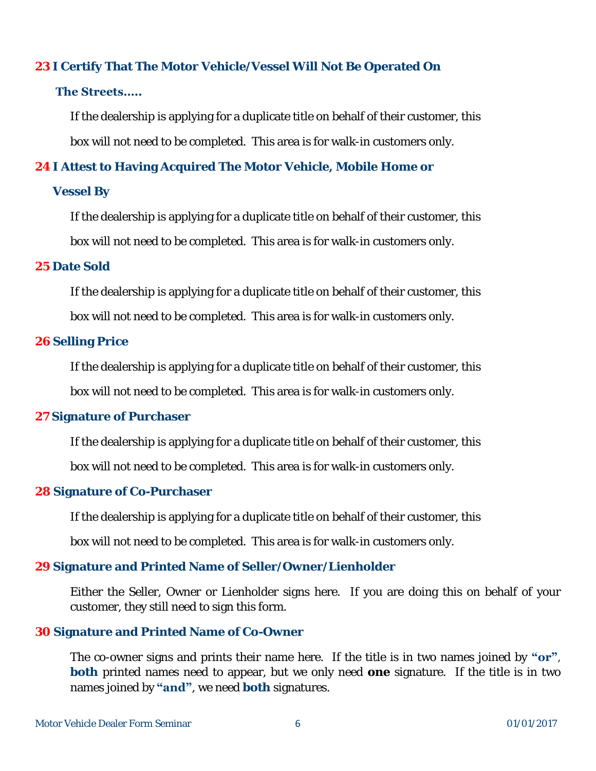## **23 I Certify That The Motor Vehicle/Vessel Will Not Be Operated On**

## **The Streets…..**

 If the dealership is applying for a duplicate title on behalf of their customer, this box will not need to be completed. This area is for walk-in customers only.

**24 I Attest to Having Acquired The Motor Vehicle, Mobile Home or** 

## **Vessel By**

 If the dealership is applying for a duplicate title on behalf of their customer, this box will not need to be completed. This area is for walk-in customers only.

## **25 Date Sold**

 If the dealership is applying for a duplicate title on behalf of their customer, this box will not need to be completed. This area is for walk-in customers only.

## **26 Selling Price**

 If the dealership is applying for a duplicate title on behalf of their customer, this box will not need to be completed. This area is for walk-in customers only.

## **27 Signature of Purchaser**

If the dealership is applying for a duplicate title on behalf of their customer, this

box will not need to be completed. This area is for walk-in customers only.

## **28 Signature of Co-Purchaser**

If the dealership is applying for a duplicate title on behalf of their customer, this

box will not need to be completed. This area is for walk-in customers only.

## **29 Signature and Printed Name of Seller/Owner/Lienholder**

Either the Seller, Owner or Lienholder signs here. If you are doing this on behalf of your customer, they still need to sign this form.

## **30 Signature and Printed Name of Co-Owner**

The co-owner signs and prints their name here. If the title is in two names joined by **"or"**, **both** printed names need to appear, but we only need **one** signature. If the title is in two names joined by **"and"**, we need **both** signatures.